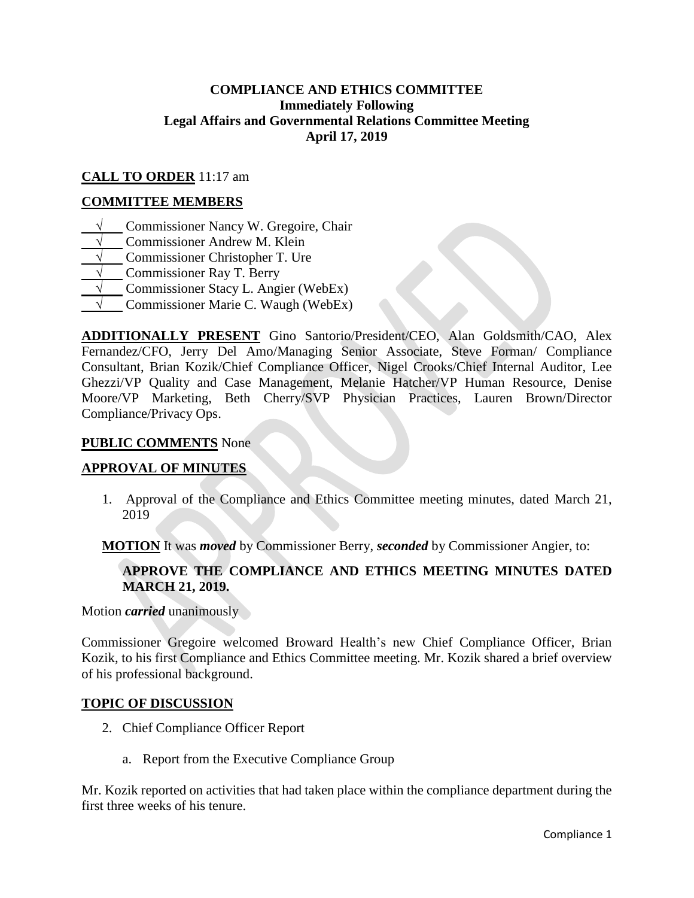## **COMPLIANCE AND ETHICS COMMITTEE Immediately Following Legal Affairs and Governmental Relations Committee Meeting April 17, 2019**

# **CALL TO ORDER** 11:17 am

### **COMMITTEE MEMBERS**

- **√** Commissioner Nancy W. Gregoire, Chair
- **Commissioner Andrew M. Klein**
- **Commissioner Christopher T. Ure**
- **√** Commissioner Ray T. Berry
- **√** Commissioner Stacy L. Angier (WebEx)
- **√** Commissioner Marie C. Waugh (WebEx)

**ADDITIONALLY PRESENT** Gino Santorio/President/CEO, Alan Goldsmith/CAO, Alex Fernandez/CFO, Jerry Del Amo/Managing Senior Associate, Steve Forman/ Compliance Consultant, Brian Kozik/Chief Compliance Officer, Nigel Crooks/Chief Internal Auditor, Lee Ghezzi/VP Quality and Case Management, Melanie Hatcher/VP Human Resource, Denise Moore/VP Marketing, Beth Cherry/SVP Physician Practices, Lauren Brown/Director Compliance/Privacy Ops.

#### **PUBLIC COMMENTS** None

#### **APPROVAL OF MINUTES**

1. Approval of the Compliance and Ethics Committee meeting minutes, dated March 21, 2019

**MOTION** It was *moved* by Commissioner Berry, *seconded* by Commissioner Angier, to:

## **APPROVE THE COMPLIANCE AND ETHICS MEETING MINUTES DATED MARCH 21, 2019.**

Motion *carried* unanimously

Commissioner Gregoire welcomed Broward Health's new Chief Compliance Officer, Brian Kozik, to his first Compliance and Ethics Committee meeting. Mr. Kozik shared a brief overview of his professional background.

#### **TOPIC OF DISCUSSION**

- 2. Chief Compliance Officer Report
	- a. Report from the Executive Compliance Group

Mr. Kozik reported on activities that had taken place within the compliance department during the first three weeks of his tenure.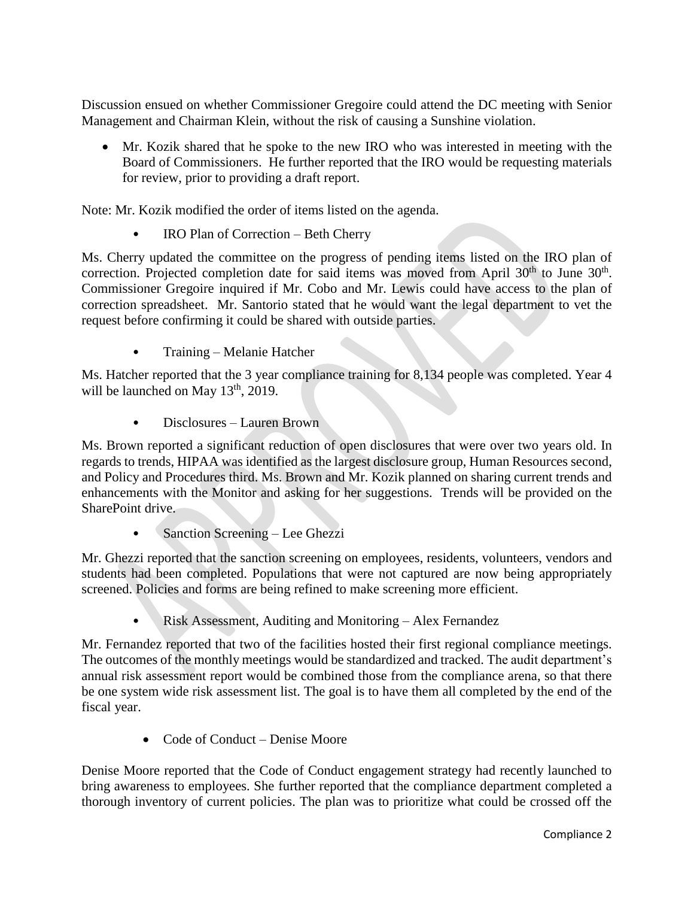Discussion ensued on whether Commissioner Gregoire could attend the DC meeting with Senior Management and Chairman Klein, without the risk of causing a Sunshine violation.

 Mr. Kozik shared that he spoke to the new IRO who was interested in meeting with the Board of Commissioners. He further reported that the IRO would be requesting materials for review, prior to providing a draft report.

Note: Mr. Kozik modified the order of items listed on the agenda.

• IRO Plan of Correction – Beth Cherry

Ms. Cherry updated the committee on the progress of pending items listed on the IRO plan of correction. Projected completion date for said items was moved from April  $30<sup>th</sup>$  to June  $30<sup>th</sup>$ . Commissioner Gregoire inquired if Mr. Cobo and Mr. Lewis could have access to the plan of correction spreadsheet. Mr. Santorio stated that he would want the legal department to vet the request before confirming it could be shared with outside parties.

• Training – Melanie Hatcher

Ms. Hatcher reported that the 3 year compliance training for 8,134 people was completed. Year 4 will be launched on May  $13<sup>th</sup>$ , 2019.

• Disclosures – Lauren Brown

Ms. Brown reported a significant reduction of open disclosures that were over two years old. In regards to trends, HIPAA was identified as the largest disclosure group, Human Resources second, and Policy and Procedures third. Ms. Brown and Mr. Kozik planned on sharing current trends and enhancements with the Monitor and asking for her suggestions. Trends will be provided on the SharePoint drive.

• Sanction Screening – Lee Ghezzi

Mr. Ghezzi reported that the sanction screening on employees, residents, volunteers, vendors and students had been completed. Populations that were not captured are now being appropriately screened. Policies and forms are being refined to make screening more efficient.

• Risk Assessment, Auditing and Monitoring – Alex Fernandez

Mr. Fernandez reported that two of the facilities hosted their first regional compliance meetings. The outcomes of the monthly meetings would be standardized and tracked. The audit department's annual risk assessment report would be combined those from the compliance arena, so that there be one system wide risk assessment list. The goal is to have them all completed by the end of the fiscal year.

Code of Conduct – Denise Moore

Denise Moore reported that the Code of Conduct engagement strategy had recently launched to bring awareness to employees. She further reported that the compliance department completed a thorough inventory of current policies. The plan was to prioritize what could be crossed off the